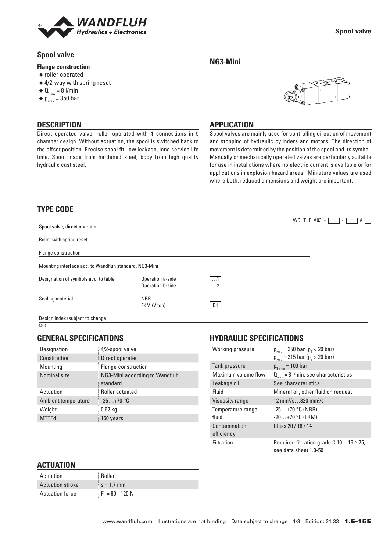

Direct operated valve, roller operated with 4 connections in 5 chamber design. Without actuation, the spool is switched back to the offset position. Precise spool fit, low leakage, long service life time. Spool made from hardened steel, body from high quality

### **Spool valve**

#### **Flange construction**

- ◆ roller operated
- ◆ 4/2-way with spring reset
- $\triangleleft \mathbf{Q}_{\text{max}} = 8$  l/min
- $\bullet$  p<sub>max</sub> = 350 bar

**DESCRIPTION**

hydraulic cast steel.

#### **Spool valve**

**NG3-Mini**



#### **APPLICATION**

Spool valves are mainly used for controlling direction of movement and stopping of hydraulic cylinders and motors. The direction of movement is determined by the position of the spool and its symbol. Manually or mechanically operated valves are particularly suitable for use in installations where no electric current is available or for applications in explosion hazard areas. Miniature values are used where both, reduced dimensions and weight are important.

# **TYPE CODE**

|                                                        |                                      |                | WD T F A03 - | #<br>$\sim$ |
|--------------------------------------------------------|--------------------------------------|----------------|--------------|-------------|
| Spool valve, direct operated                           |                                      |                |              |             |
| Roller with spring reset                               |                                      |                |              |             |
| Flange construction                                    |                                      |                |              |             |
| Mounting interface acc. to Wandfluh standard, NG3-Mini |                                      |                |              |             |
| Designation of symbols acc. to table                   | Operation a-side<br>Operation b-side | 1<br>$\dots$ 2 |              |             |
| Sealing material                                       | <b>NBR</b><br>FKM (Viton)            | D1             |              |             |
| Design index (subject to change)                       |                                      |                |              |             |

 $1.5 - 15$ 

#### **GENERAL SPECIFICATIONS**

| Designation         | 4/2-spool valve                            |
|---------------------|--------------------------------------------|
| Construction        | Direct operated                            |
| Mounting            | Flange construction                        |
| Nominal size        | NG3-Mini according to Wandfluh<br>standard |
| Actuation           | Roller actuated                            |
| Ambient temperature | $-25+70$ °C                                |
| Weight              | $0.62$ kg                                  |
| <b>MTTFd</b>        | 150 years                                  |

### **HYDRAULIC SPECIFICATIONS**

| Working pressure            | $p_{max}$ = 350 bar ( $p_{T}$ < 20 bar)                                    |
|-----------------------------|----------------------------------------------------------------------------|
|                             | $p_{max}$ = 315 bar ( $p_{T}$ > 20 bar)                                    |
| Tank pressure               | $p_{T_{max}} = 100$ bar                                                    |
| Maximum volume flow         | $Q_{\text{max}} = 8$ l/min, see characteristics                            |
| Leakage oil                 | See characteristics                                                        |
| Fluid                       | Mineral oil, other fluid on request                                        |
| Viscosity range             | 12 mm <sup>2</sup> /s320 mm <sup>2</sup> /s                                |
| Temperature range           | $-25+70$ °C (NBR)                                                          |
| fluid                       | $-20+70$ °C (FKM)                                                          |
| Contamination<br>efficiency | Class 20 / 18 / 14                                                         |
| Filtration                  | Required filtration grade $\beta$ 1016 $\geq$ 75,<br>see data sheet 1.0-50 |

#### **ACTUATION**

| Actuation               | : Roller             |
|-------------------------|----------------------|
| <b>Actuation stroke</b> | $s = 1.7$ mm         |
| <b>Actuation force</b>  | $F_{h} = 90 - 120 N$ |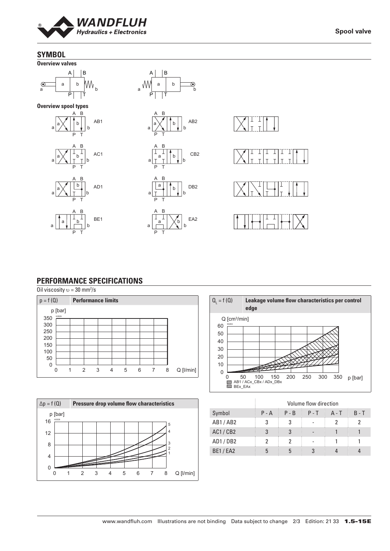

**Spool valve**

# **SYMBOL**



#### **PERFORMANCE SPECIFICATIONS**

Oil viscosity  $v = 30$  mm<sup>2</sup>/s







|                |         |         | Volume flow direction |         |         |
|----------------|---------|---------|-----------------------|---------|---------|
| Symbol         | $P - A$ | $P - B$ | $P - T$               | $A - T$ | $B - T$ |
| AB1/AB2        | 3       | 3       |                       |         | 2       |
| AC1/CB2        | 3       | 3       |                       |         |         |
| AD1/DB2        | 2       | າ       |                       |         |         |
| <b>BE1/EA2</b> | 5       | 5       |                       |         |         |